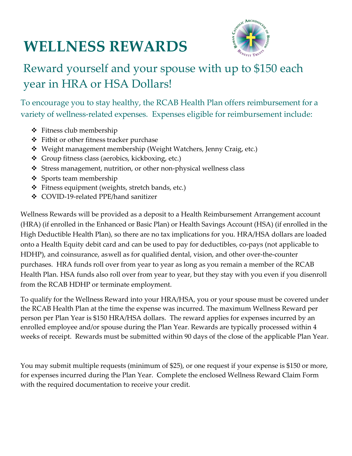## **WELLNESS REWARDS**



## Reward yourself and your spouse with up to \$150 each year in HRA or HSA Dollars!

To encourage you to stay healthy, the RCAB Health Plan offers reimbursement for a variety of wellness-related expenses. Expenses eligible for reimbursement include:

- ❖ Fitness club membership
- ❖ Fitbit or other fitness tracker purchase
- ❖ Weight management membership (Weight Watchers, Jenny Craig, etc.)
- ❖ Group fitness class (aerobics, kickboxing, etc.)
- ❖ Stress management, nutrition, or other non-physical wellness class
- ❖ Sports team membership
- ❖ Fitness equipment (weights, stretch bands, etc.)
- ❖ COVID-19-related PPE/hand sanitizer

Wellness Rewards will be provided as a deposit to a Health Reimbursement Arrangement account (HRA) (if enrolled in the Enhanced or Basic Plan) or Health Savings Account (HSA) (if enrolled in the High Deductible Health Plan), so there are no tax implications for you. HRA/HSA dollars are loaded onto a Health Equity debit card and can be used to pay for deductibles, co-pays (not applicable to HDHP), and coinsurance, as well as for qualified dental, vision, and other over-the-counter purchases. HRA funds roll over from year to year as long as you remain a member of the RCAB Health Plan. HSA funds also roll over from year to year, but they stay with you even if you disenroll from the RCAB HDHP or terminate employment.

To qualify for the Wellness Reward into your HRA/HSA, you or your spouse must be covered under the RCAB Health Plan at the time the expense was incurred. The maximum Wellness Reward per person per Plan Year is \$150 HRA/HSA dollars. The reward applies for expenses incurred by an enrolled employee and/or spouse during the Plan Year. Rewards are typically processed within 4 weeks of receipt. Rewards must be submitted within 90 days of the close of the applicable Plan Year.

You may submit multiple requests (minimum of \$25), or one request if your expense is \$150 or more, for expenses incurred during the Plan Year. Complete the enclosed Wellness Reward Claim Form with the required documentation to receive your credit.